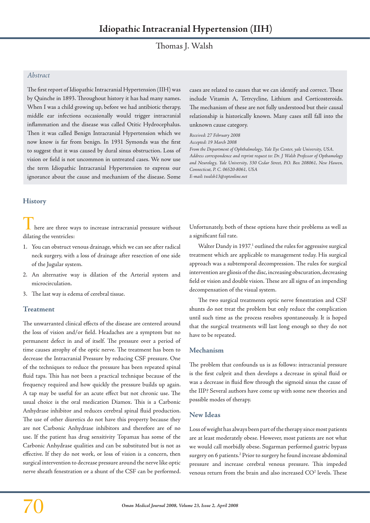Thomas J. Walsh

## *Abstract*

The first report of Idiopathic Intracranial Hypertension (IIH) was by Quinche in 1893. Throughout history it has had many names. When I was a child growing up, before we had antibiotic therapy, middle ear infections occasionally would trigger intracranial inflammation and the disease was called Otitic Hydrocephalus. Then it was called Benign Intracranial Hypertension which we now know is far from benign. In 1931 Symonds was the first to suggest that it was caused by dural sinus obstruction. Loss of vision or field is not uncommon in untreated cases. We now use the term Idiopathic Intracranial Hypertension to express our ignorance about the cause and mechanism of the disease. Some

cases are related to causes that we can identify and correct. These include Vitamin A, Tetrcycline, Lithium and Corticosteroids. The mechanism of these are not fully understood but their causal relationship is historically known. Many cases still fall into the unknown cause category.

*Received: 27 February 2008 Accepted: 19 March 2008 From the Department of Ophthalmology, Yale Eye Center, yale University, USA. Address correspondence and reprint request to: Dr. J Walsh Professor of Opthamology and Neurology, Yale University, 330 Cedar Street, P.O. Box 208061, New Hawen, Connecticut, P. C. 06520-8061, USA E-mail: twalsh13@optonline.net*

# **History**

here are three ways to increase intracranial pressure without dilating the ventricles:

- 1. You can obstruct venous drainage, which we can see after radical neck surgery, with a loss of drainage after resection of one side of the Jugular system.
- 2. An alternative way is dilation of the Arterial system and microcirculation.
- 3. The last way is edema of cerebral tissue.

## **Treatment**

The unwarranted clinical effects of the disease are centered around the loss of vision and/or field. Headaches are a symptom but no permanent defect in and of itself. The pressure over a period of time causes atrophy of the optic nerve. The treatment has been to decrease the Intracranial Pressure by reducing CSF pressure. One of the techniques to reduce the pressure has been repeated spinal fluid taps. This has not been a practical technique because of the frequency required and how quickly the pressure builds up again. A tap may be useful for an acute effect but not chronic use. The usual choice is the oral medication Diamox. This is a Carbonic Anhydrase inhibitor and reduces cerebral spinal fluid production. The use of other diuretics do not have this property because they are not Carbonic Anhydrase inhibitors and therefore are of no use. If the patient has drug sensitivity Topamax has some of the Carbonic Anhydrase qualities and can be substituted but is not as effective. If they do not work, or loss of vision is a concern, then surgical intervention to decrease pressure around the nerve like optic nerve sheath fenestration or a shunt of the CSF can be performed. Unfortunately, both of these options have their problems as well as a significant fail rate.

Walter Dandy in 1937.<sup>1</sup> outlined the rules for aggressive surgical treatment which are applicable to management today. His surgical approach was a subtemporal decompression. The rules for surgical intervention are gliosis of the disc, increasing obscuration, decreasing field or vision and double vision. These are all signs of an impending decompensation of the visual system.

The two surgical treatments optic nerve fenestration and CSF shunts do not treat the problem but only reduce the complication until such time as the process resolves spontaneously. It is hoped that the surgical treatments will last long enough so they do not have to be repeated.

#### **Mechanism**

The problem that confounds us is as follows: intracranial pressure is the first culprit and then develops a decrease in spinal fluid or was a decrease in fluid flow through the sigmoid sinus the cause of the IIP? Several authors have come up with some new theories and possible modes of therapy.

## **New Ideas**

Loss of weight has always been part of the therapy since most patients are at least moderately obese. However, most patients are not what we would call morbidly obese. Sugarman performed gastric bypass surgery on 6 patients.<sup>2</sup> Prior to surgery he found increase abdominal pressure and increase cerebral venous pressure. This impeded venous return from the brain and also increased CO<sup>2</sup> levels. These